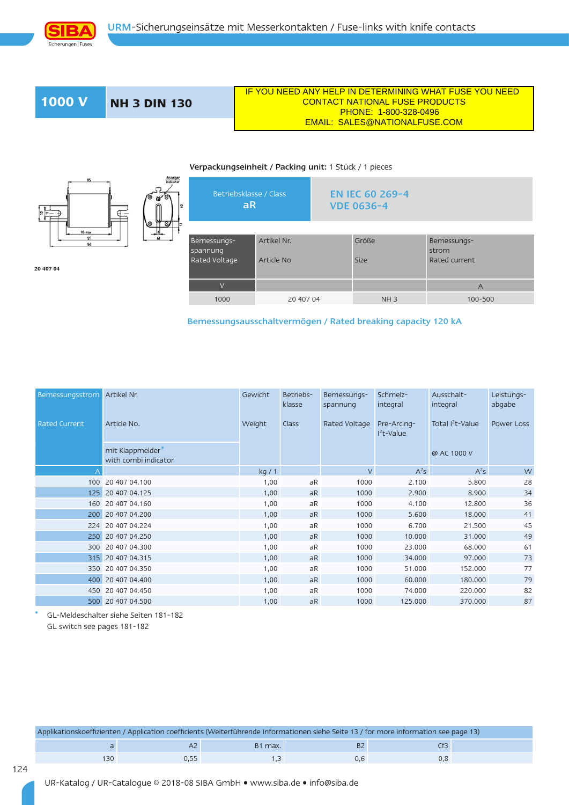

**1000 V NH 3 DIN 130**

**20 407 04**

 IF YOU NEED ANY HELP IN DETERMINING WHAT FUSE YOU NEED CONTACT NATIONAL FUSE PRODUCTS

## PHONE: 1-800-328-0496 EMAIL: SALES@NATIONALFUSE.COM

## Verpackungseinheit / Packing unit: 1 Stück / 1 pieces



**Anzeiger**<br>indicator

aR VDE 0636-4 Bemessungsspannung Rated Voltage Artikel Nr. Article No Größe Size Bemessungsstrom Rated current V and the second contract of the second contract of the second contract of the second contract of the second c 1000 20 407 04 NH 3 100-500

EN IEC 60 269-4

Bemessungsausschaltvermögen / Rated breaking capacity 120 kA

| <b>Bemessungsstrom</b> | Artikel Nr.                              | Gewicht | Betriebs-<br>klasse | Bemessungs-<br>spannung | Schmelz-<br>integral       | Ausschalt-<br>integral       | Leistungs-<br>abgabe |
|------------------------|------------------------------------------|---------|---------------------|-------------------------|----------------------------|------------------------------|----------------------|
| <b>Rated Current</b>   | Article No.                              | Weight  | Class               | Rated Voltage           | Pre-Arcing-<br>$I2t-Value$ | Total I <sup>2</sup> t-Value | Power Loss           |
|                        | mit Klappmelder*<br>with combi indicator |         |                     |                         |                            | @ AC 1000 V                  |                      |
|                        |                                          | kg/1    |                     | $\vee$                  | $A^2S$                     | $A^2S$                       | W                    |
|                        | 100 20 407 04.100                        | 1,00    | aR                  | 1000                    | 2.100                      | 5.800                        | 28                   |
|                        | 125 20 407 04.125                        | 1,00    | aR                  | 1000                    | 2.900                      | 8,900                        | 34                   |
|                        | 160 20 407 04.160                        | 1,00    | aR                  | 1000                    | 4.100                      | 12,800                       | 36                   |
|                        | 200 20 407 04.200                        | 1,00    | aR                  | 1000                    | 5.600                      | 18.000                       | 41                   |
|                        | 224 20 407 04.224                        | 1,00    | aR                  | 1000                    | 6.700                      | 21.500                       | 45                   |
|                        | 250 20 407 04.250                        | 1,00    | aR                  | 1000                    | 10.000                     | 31.000                       | 49                   |
|                        | 300 20 407 04.300                        | 1,00    | aR                  | 1000                    | 23,000                     | 68,000                       | 61                   |
|                        | 315 20 407 04.315                        | 1,00    | aR                  | 1000                    | 34.000                     | 97.000                       | 73                   |
|                        | 350 20 407 04.350                        | 1,00    | aR                  | 1000                    | 51,000                     | 152,000                      | 77                   |
| 400                    | 20 407 04,400                            | 1,00    | aR                  | 1000                    | 60.000                     | 180.000                      | 79                   |
|                        | 450 20 407 04.450                        | 1,00    | aR                  | 1000                    | 74.000                     | 220.000                      | 82                   |
|                        | 500 20 407 04.500                        | 1,00    | aR                  | 1000                    | 125.000                    | 370,000                      | 87                   |

\* GL-Meldeschalter siehe Seiten 181-182

GL switch see pages 181-182

|     |     |  |        | Applikationskoeffizienten / Application coefficients (Weiterführende Informationen siehe Seite 13 / for more information see page 13) |
|-----|-----|--|--------|---------------------------------------------------------------------------------------------------------------------------------------|
|     |     |  | B1 max |                                                                                                                                       |
|     | 130 |  |        |                                                                                                                                       |
| 124 |     |  |        |                                                                                                                                       |

UR-Katalog / UR-Catalogue © 2018-08 SIBA GmbH • www.siba.de • info@siba.de